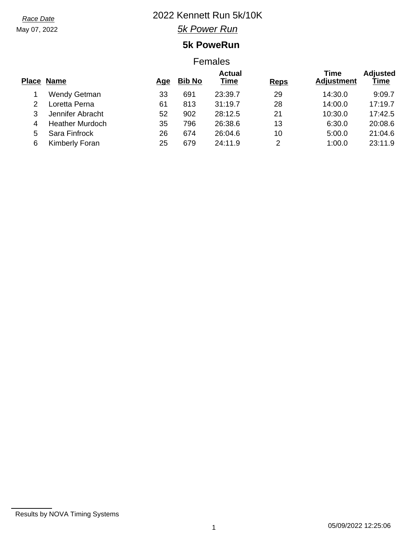May 07, 2022

# *Race Date* 2022 Kennett Run 5k/10K

*5k Power Run*

## **5k PoweRun**

### Females

|   | <b>Place Name</b>      | Age | <b>Bib No</b> | <b>Actual</b><br>Time | <b>Reps</b> | Time<br><b>Adjustment</b> | <b>Adjusted</b><br>Time |
|---|------------------------|-----|---------------|-----------------------|-------------|---------------------------|-------------------------|
|   | <b>Wendy Getman</b>    | 33  | 691           | 23:39.7               | 29          | 14:30.0                   | 9:09.7                  |
|   | Loretta Perna          | 61  | 813           | 31:19.7               | 28          | 14:00.0                   | 17:19.7                 |
|   | Jennifer Abracht       | 52  | 902           | 28:12.5               | 21          | 10:30.0                   | 17:42.5                 |
| 4 | <b>Heather Murdoch</b> | 35  | 796           | 26:38.6               | 13          | 6:30.0                    | 20:08.6                 |
| 5 | Sara Finfrock          | 26  | 674           | 26:04.6               | 10          | 5:00.0                    | 21:04.6                 |
| 6 | Kimberly Foran         | 25  | 679           | 24:11.9               | 2           | 1:00.0                    | 23:11.9                 |